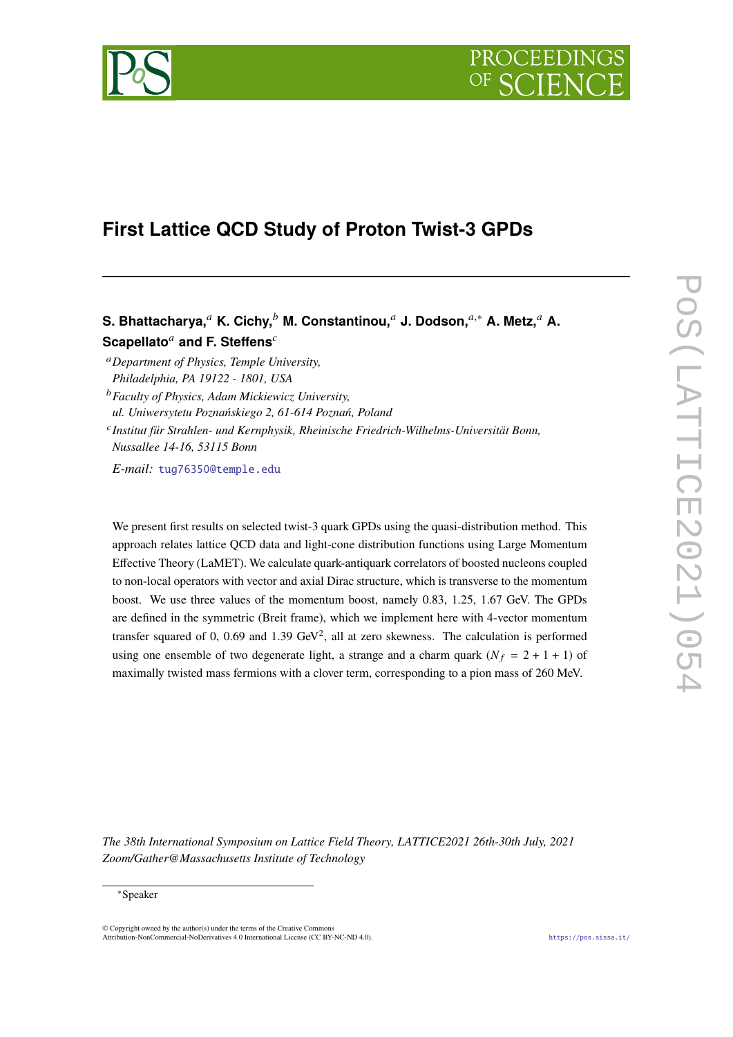



# **First Lattice QCD Study of Proton Twist-3 GPDs**

S. Bhattacharya,<sup>*a*</sup> K. Cichy,<sup>*b*</sup> M. Constantinou,<sup>*a*</sup> J. Dodson,<sup>*a*,∗</sup> A. Metz,<sup>*a*</sup> A. **Scapellato<sup>***a***</sup> and F. Steffens<sup>***c***</sup>** 

*Department of Physics, Temple University, Philadelphia, PA 19122 - 1801, USA*

*Faculty of Physics, Adam Mickiewicz University, ul. Uniwersytetu Poznańskiego 2, 61-614 Poznań, Poland*

 *Institut für Strahlen- und Kernphysik, Rheinische Friedrich-Wilhelms-Universität Bonn, Nussallee 14-16, 53115 Bonn*

*E-mail:* [tug76350@temple.edu](mailto:tug76350@temple.edu)

We present first results on selected twist-3 quark GPDs using the quasi-distribution method. This approach relates lattice QCD data and light-cone distribution functions using Large Momentum Effective Theory (LaMET). We calculate quark-antiquark correlators of boosted nucleons coupled to non-local operators with vector and axial Dirac structure, which is transverse to the momentum boost. We use three values of the momentum boost, namely 0.83, 1.25, 1.67 GeV. The GPDs are defined in the symmetric (Breit frame), which we implement here with 4-vector momentum transfer squared of 0, 0.69 and 1.39 GeV<sup>2</sup>, all at zero skewness. The calculation is performed using one ensemble of two degenerate light, a strange and a charm quark  $(N_f = 2 + 1 + 1)$  of maximally twisted mass fermions with a clover term, corresponding to a pion mass of 260 MeV.

*The 38th International Symposium on Lattice Field Theory, LATTICE2021 26th-30th July, 2021 Zoom/Gather@Massachusetts Institute of Technology*

#### ∗Speaker

 $\odot$  Copyright owned by the author(s) under the terms of the Creative Common Attribution-NonCommercial-NoDerivatives 4.0 International License (CC BY-NC-ND 4.0). <https://pos.sissa.it/>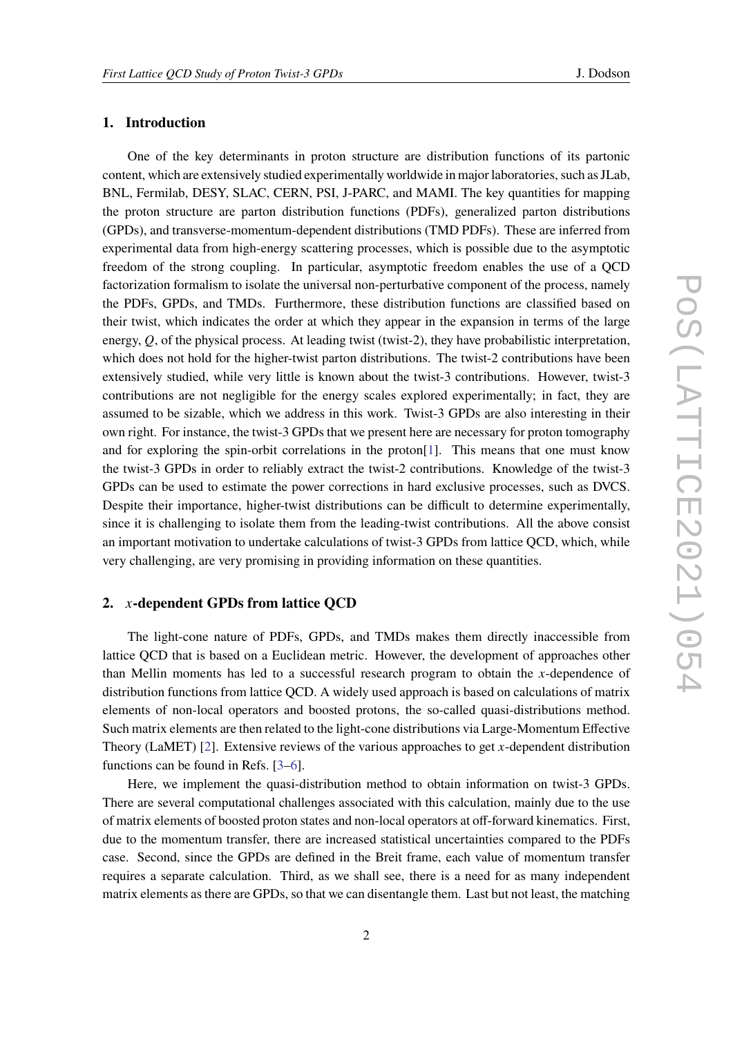## **1. Introduction**

One of the key determinants in proton structure are distribution functions of its partonic content, which are extensively studied experimentally worldwide in major laboratories, such as JLab, BNL, Fermilab, DESY, SLAC, CERN, PSI, J-PARC, and MAMI. The key quantities for mapping the proton structure are parton distribution functions (PDFs), generalized parton distributions (GPDs), and transverse-momentum-dependent distributions (TMD PDFs). These are inferred from experimental data from high-energy scattering processes, which is possible due to the asymptotic freedom of the strong coupling. In particular, asymptotic freedom enables the use of a QCD factorization formalism to isolate the universal non-perturbative component of the process, namely the PDFs, GPDs, and TMDs. Furthermore, these distribution functions are classified based on their twist, which indicates the order at which they appear in the expansion in terms of the large energy,  $Q$ , of the physical process. At leading twist (twist-2), they have probabilistic interpretation, which does not hold for the higher-twist parton distributions. The twist-2 contributions have been extensively studied, while very little is known about the twist-3 contributions. However, twist-3 contributions are not negligible for the energy scales explored experimentally; in fact, they are assumed to be sizable, which we address in this work. Twist-3 GPDs are also interesting in their own right. For instance, the twist-3 GPDs that we present here are necessary for proton tomography and for exploring the spin-orbit correlations in the proton[\[1\]](#page-8-0). This means that one must know the twist-3 GPDs in order to reliably extract the twist-2 contributions. Knowledge of the twist-3 GPDs can be used to estimate the power corrections in hard exclusive processes, such as DVCS. Despite their importance, higher-twist distributions can be difficult to determine experimentally, since it is challenging to isolate them from the leading-twist contributions. All the above consist an important motivation to undertake calculations of twist-3 GPDs from lattice QCD, which, while very challenging, are very promising in providing information on these quantities.

# **2. -dependent GPDs from lattice QCD**

The light-cone nature of PDFs, GPDs, and TMDs makes them directly inaccessible from lattice QCD that is based on a Euclidean metric. However, the development of approaches other than Mellin moments has led to a successful research program to obtain the x-dependence of distribution functions from lattice QCD. A widely used approach is based on calculations of matrix elements of non-local operators and boosted protons, the so-called quasi-distributions method. Such matrix elements are then related to the light-cone distributions via Large-Momentum Effective Theory (LaMET) [\[2\]](#page-8-1). Extensive reviews of the various approaches to get  $x$ -dependent distribution functions can be found in Refs. [\[3–](#page-8-2)[6\]](#page-8-3).

Here, we implement the quasi-distribution method to obtain information on twist-3 GPDs. There are several computational challenges associated with this calculation, mainly due to the use of matrix elements of boosted proton states and non-local operators at off-forward kinematics. First, due to the momentum transfer, there are increased statistical uncertainties compared to the PDFs case. Second, since the GPDs are defined in the Breit frame, each value of momentum transfer requires a separate calculation. Third, as we shall see, there is a need for as many independent matrix elements as there are GPDs, so that we can disentangle them. Last but not least, the matching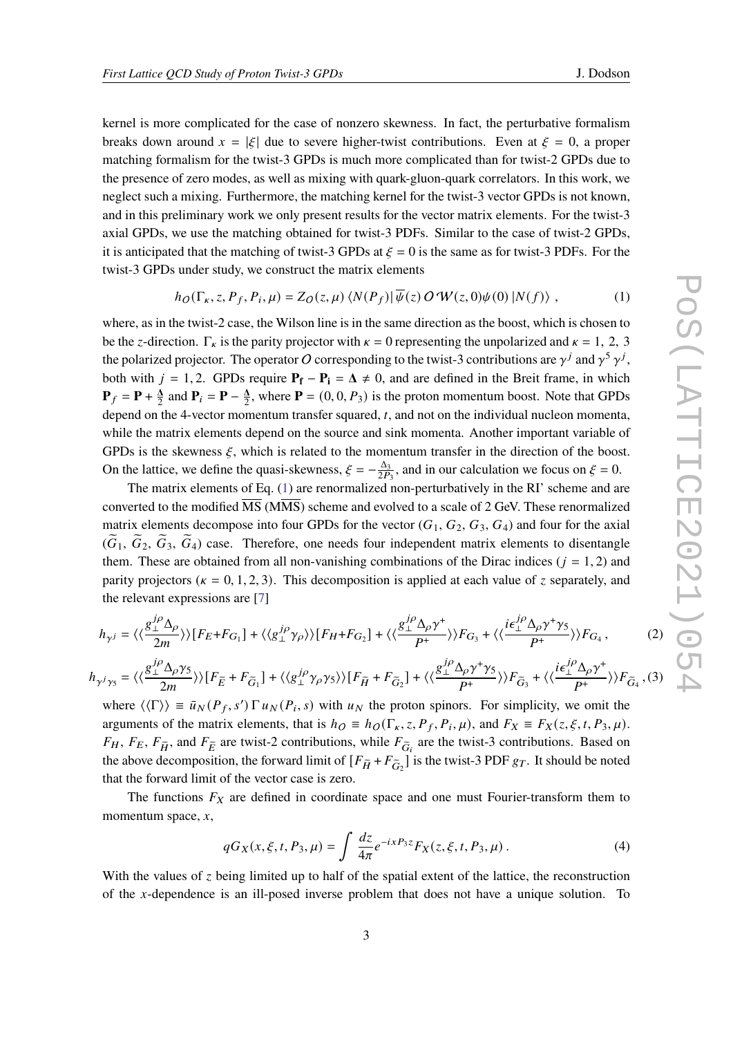kernel is more complicated for the case of nonzero skewness. In fact, the perturbative formalism breaks down around  $x = |\xi|$  due to severe higher-twist contributions. Even at  $\xi = 0$ , a proper matching formalism for the twist-3 GPDs is much more complicated than for twist-2 GPDs due to the presence of zero modes, as well as mixing with quark-gluon-quark correlators. In this work, we neglect such a mixing. Furthermore, the matching kernel for the twist-3 vector GPDs is not known, and in this preliminary work we only present results for the vector matrix elements. For the twist-3 axial GPDs, we use the matching obtained for twist-3 PDFs. Similar to the case of twist-2 GPDs, it is anticipated that the matching of twist-3 GPDs at  $\zeta = 0$  is the same as for twist-3 PDFs. For the twist-3 GPDs under study, we construct the matrix elements

<span id="page-2-0"></span>
$$
h_O(\Gamma_{\kappa}, z, P_f, P_i, \mu) = Z_O(z, \mu) \langle N(P_f) | \overline{\psi}(z) O \mathcal{W}(z, 0) \psi(0) | N(f) \rangle , \qquad (1)
$$

where, as in the twist-2 case, the Wilson line is in the same direction as the boost, which is chosen to be the z-direction.  $\Gamma_k$  is the parity projector with  $\kappa = 0$  representing the unpolarized and  $\kappa = 1, 2, 3$ the polarized projector. The operator O corresponding to the twist-3 contributions are  $\gamma^j$  and  $\gamma^5 \gamma^j$ , both with  $j = 1, 2$ . GPDs require  $P_f - P_i = \Delta \neq 0$ , and are defined in the Breit frame, in which  $P_f = P + \frac{\Delta}{2}$  and  $P_i = P - \frac{\Delta}{2}$ , where  $P = (0, 0, P_3)$  is the proton momentum boost. Note that GPDs depend on the 4-vector momentum transfer squared,  $t$ , and not on the individual nucleon momenta, while the matrix elements depend on the source and sink momenta. Another important variable of GPDs is the skewness  $\xi$ , which is related to the momentum transfer in the direction of the boost. On the lattice, we define the quasi-skewness,  $\xi = -\frac{\Delta_3}{2P_3}$ , and in our calculation we focus on  $\xi = 0$ .

The matrix elements of Eq. [\(1\)](#page-2-0) are renormalized non-perturbatively in the RI' scheme and are converted to the modified MS (MMS) scheme and evolved to a scale of 2 GeV. These renormalized matrix elements decompose into four GPDs for the vector  $(G_1, G_2, G_3, G_4)$  and four for the axial  $(\tilde{G}_1, \tilde{G}_2, \tilde{G}_3, \tilde{G}_4)$  case. Therefore, one needs four independent matrix elements to disentangle them. These are obtained from all non-vanishing combinations of the Dirac indices  $(j = 1, 2)$  and parity projectors ( $\kappa = 0, 1, 2, 3$ ). This decomposition is applied at each value of z separately, and the relevant expressions are [\[7\]](#page-8-4)

<span id="page-2-1"></span>
$$
h_{\gamma^{j}} = \langle \langle \frac{g_{\perp}^{j\rho} \Delta_{\rho}}{2m} \rangle \rangle [F_{E} + F_{G_{1}}] + \langle \langle g_{\perp}^{j\rho} \gamma_{\rho} \rangle \rangle [F_{H} + F_{G_{2}}] + \langle \langle \frac{g_{\perp}^{j\rho} \Delta_{\rho} \gamma^{+}}{P^{+}} \rangle \rangle F_{G_{3}} + \langle \langle \frac{i\epsilon_{\perp}^{j\rho} \Delta_{\rho} \gamma^{+} \gamma_{5}}{P^{+}} \rangle \rangle F_{G_{4}},
$$
\n
$$
h_{\gamma^{j}\gamma_{5}} = \langle \langle \frac{g_{\perp}^{j\rho} \Delta_{\rho} \gamma_{5}}{2m} \rangle \rangle [F_{E} + F_{\widetilde{G}_{1}}] + \langle \langle g_{\perp}^{j\rho} \gamma_{\rho} \gamma_{5} \rangle \rangle [F_{\widetilde{H}} + F_{\widetilde{G}_{2}}] + \langle \langle \frac{g_{\perp}^{j\rho} \Delta_{\rho} \gamma^{+} \gamma_{5}}{P^{+}} \rangle \rangle F_{\widetilde{G}_{3}} + \langle \langle \frac{i\epsilon_{\perp}^{j\rho} \Delta_{\rho} \gamma^{+}}{P^{+}} \rangle \rangle F_{\widetilde{G}_{4}},
$$
\n
$$
(3)
$$

where  $\langle \langle \Gamma \rangle \rangle = \bar{u}_N(P_f, s') \Gamma u_N(P_i, s)$  with  $u_N$  the proton spinors. For simplicity, we omit the arguments of the matrix elements, that is  $h_O \equiv h_O(\Gamma_K, z, P_f, P_i, \mu)$ , and  $F_X \equiv F_X(z, \xi, t, P_3, \mu)$ .  $F_H$ ,  $F_E$ ,  $F_{\tilde{H}}$ , and  $F_{\tilde{E}}$  are twist-2 contributions, while  $F_{\tilde{G}_i}$  are the twist-3 contributions. Based on the above decomposition, the forward limit of  $[F_{\tilde{H}} + F_{\tilde{G}_2}]$  is the twist-3 PDF  $g_T$ . It should be noted that the forward limit of the vector case is zero.

The functions  $F_X$  are defined in coordinate space and one must Fourier-transform them to momentum space,  $x$ ,

$$
qG_X(x,\xi,t,P_3,\mu) = \int \frac{dz}{4\pi} e^{-ixP_3z} F_X(z,\xi,t,P_3,\mu) \,. \tag{4}
$$

With the values of  $\zeta$  being limited up to half of the spatial extent of the lattice, the reconstruction of the  $x$ -dependence is an ill-posed inverse problem that does not have a unique solution. To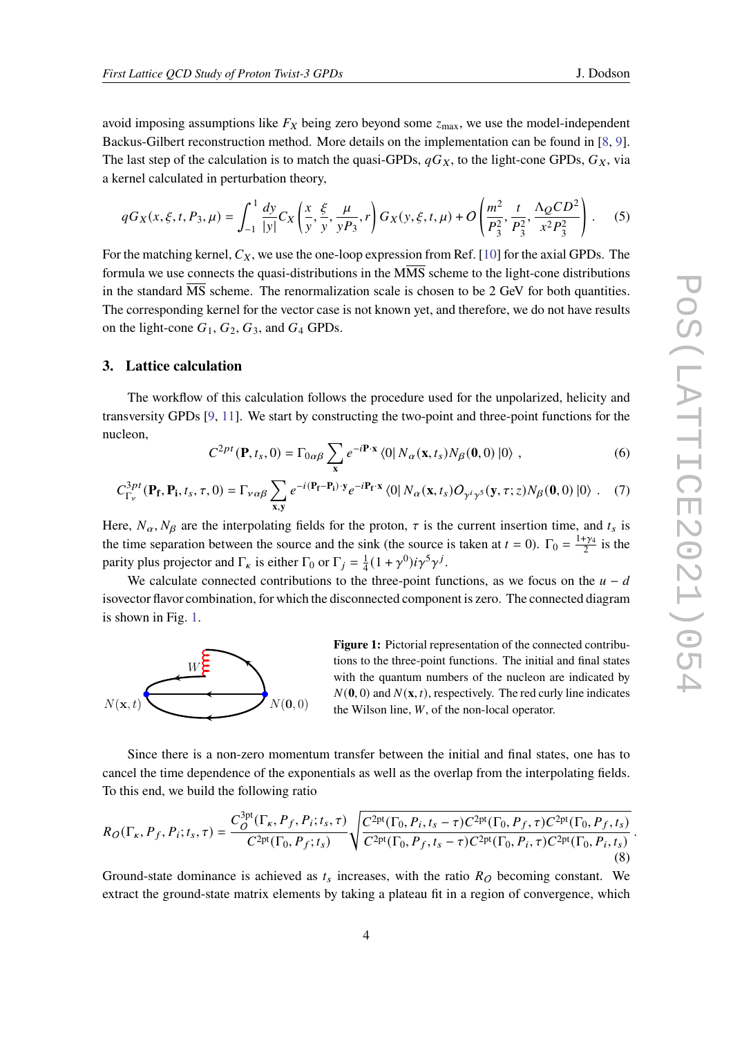avoid imposing assumptions like  $F_X$  being zero beyond some  $z_{\text{max}}$ , we use the model-independent Backus-Gilbert reconstruction method. More details on the implementation can be found in [\[8,](#page-8-5) [9\]](#page-8-6). The last step of the calculation is to match the quasi-GPDs,  $qG_X$ , to the light-cone GPDs,  $G_X$ , via a kernel calculated in perturbation theory,

$$
qG_X(x,\xi,t,P_3,\mu) = \int_{-1}^{1} \frac{dy}{|y|} C_X\left(\frac{x}{y}, \frac{\xi}{y}, \frac{\mu}{yP_3}, r\right) G_X(y,\xi,t,\mu) + O\left(\frac{m^2}{P_3^2}, \frac{t}{P_3^2}, \frac{\Lambda_Q CD^2}{x^2 P_3^2}\right).
$$
 (5)

For the matching kernel,  $C_X$ , we use the one-loop expression from Ref. [\[10\]](#page-8-7) for the axial GPDs. The formula we use connects the quasi-distributions in the MMS scheme to the light-cone distributions in the standard  $\overline{\text{MS}}$  scheme. The renormalization scale is chosen to be 2 GeV for both quantities. The corresponding kernel for the vector case is not known yet, and therefore, we do not have results on the light-cone  $G_1$ ,  $G_2$ ,  $G_3$ , and  $G_4$  GPDs.

#### **3. Lattice calculation**

The workflow of this calculation follows the procedure used for the unpolarized, helicity and transversity GPDs [\[9,](#page-8-6) [11\]](#page-8-8). We start by constructing the two-point and three-point functions for the nucleon,

$$
C^{2pt}(\mathbf{P},t_s,0) = \Gamma_{0\alpha\beta} \sum_{\mathbf{x}} e^{-i\mathbf{P}\cdot\mathbf{x}} \langle 0| N_{\alpha}(\mathbf{x},t_s) N_{\beta}(\mathbf{0},0) |0\rangle , \qquad (6)
$$

$$
C_{\Gamma_{\nu}}^{3pt}(\mathbf{P_f}, \mathbf{P_i}, t_s, \tau, 0) = \Gamma_{\nu\alpha\beta} \sum_{\mathbf{x}, \mathbf{y}} e^{-i(\mathbf{P_f} - \mathbf{P_i}) \cdot \mathbf{y}} e^{-i\mathbf{P_f} \cdot \mathbf{x}} \langle 0| N_{\alpha}(\mathbf{x}, t_s) O_{\gamma^i \gamma^5}(\mathbf{y}, \tau; z) N_{\beta}(\mathbf{0}, 0) |0 \rangle . \tag{7}
$$

Here,  $N_{\alpha}$ ,  $N_{\beta}$  are the interpolating fields for the proton,  $\tau$  is the current insertion time, and  $t_s$  is the time separation between the source and the sink (the source is taken at  $t = 0$ ).  $\Gamma_0 = \frac{1+\gamma_4}{2}$  is the parity plus projector and  $\Gamma_k$  is either  $\Gamma_0$  or  $\Gamma_i = \frac{1}{4}$  $\frac{1}{4}(1+\gamma^0)i\gamma^5\gamma^j$ .

We calculate connected contributions to the three-point functions, as we focus on the  $u - d$ isovector flavor combination, for which the disconnected component is zero. The connected diagram is shown in Fig. [1.](#page-3-0)

<span id="page-3-0"></span>

**Figure 1:** Pictorial representation of the connected contributions to the three-point functions. The initial and final states with the quantum numbers of the nucleon are indicated by  $N(0, 0)$  and  $N(\mathbf{x}, t)$ , respectively. The red curly line indicates the Wilson line,  $W$ , of the non-local operator.

Since there is a non-zero momentum transfer between the initial and final states, one has to cancel the time dependence of the exponentials as well as the overlap from the interpolating fields. To this end, we build the following ratio

$$
R_O(\Gamma_{\kappa}, P_f, P_i; t_s, \tau) = \frac{C_O^{3pt}(\Gamma_{\kappa}, P_f, P_i; t_s, \tau)}{C^{2pt}(\Gamma_0, P_f; t_s)} \sqrt{\frac{C^{2pt}(\Gamma_0, P_i, t_s - \tau) C^{2pt}(\Gamma_0, P_f, \tau) C^{2pt}(\Gamma_0, P_f, t_s)}{C^{2pt}(\Gamma_0, P_f, t_s - \tau) C^{2pt}(\Gamma_0, P_i, \tau) C^{2pt}(\Gamma_0, P_i, t_s)}}.
$$
\n(8)

Ground-state dominance is achieved as  $t_s$  increases, with the ratio  $R<sub>O</sub>$  becoming constant. We extract the ground-state matrix elements by taking a plateau fit in a region of convergence, which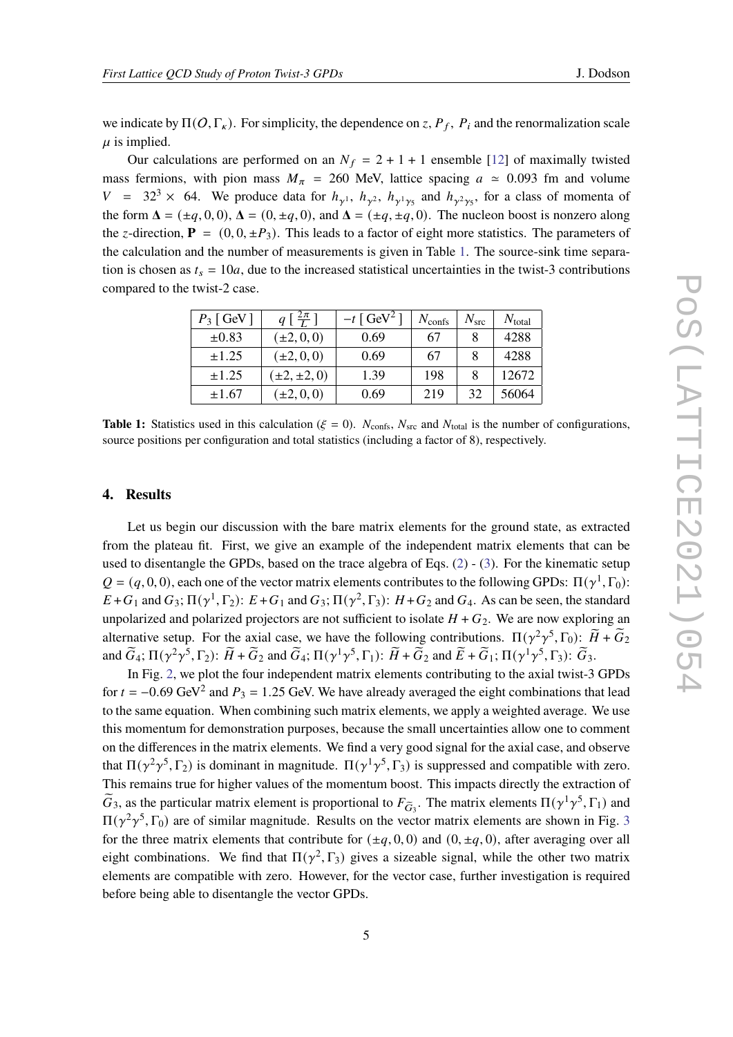we indicate by  $\Pi(O, \Gamma_{\kappa})$ . For simplicity, the dependence on z,  $P_f$ ,  $P_i$  and the renormalization scale  $\mu$  is implied.

Our calculations are performed on an  $N_f = 2 + 1 + 1$  ensemble [\[12\]](#page-8-9) of maximally twisted mass fermions, with pion mass  $M_{\pi}$  = 260 MeV, lattice spacing  $a \approx 0.093$  fm and volume  $V = 32<sup>3</sup> \times 64$ . We produce data for  $h_{\gamma^1}$ ,  $h_{\gamma^2}$ ,  $h_{\gamma^1 \gamma_5}$  and  $h_{\gamma^2 \gamma_5}$ , for a class of momenta of the form  $\Delta = (\pm q, 0, 0)$ ,  $\Delta = (0, \pm q, 0)$ , and  $\Delta = (\pm q, \pm q, 0)$ . The nucleon boost is nonzero along the z-direction,  $P = (0, 0, \pm P_3)$ . This leads to a factor of eight more statistics. The parameters of the calculation and the number of measurements is given in Table [1.](#page-4-0) The source-sink time separation is chosen as  $t_s = 10a$ , due to the increased statistical uncertainties in the twist-3 contributions compared to the twist-2 case.

<span id="page-4-0"></span>

| $P_3$ [ GeV ] | $q\left[\frac{2\pi}{L}\right]$ | $-t$ [ GeV <sup>2</sup> ] | $N_{\text{confs}}$ | $N_{\rm src}$ | $N_{\text{total}}$ |
|---------------|--------------------------------|---------------------------|--------------------|---------------|--------------------|
| $\pm 0.83$    | $(\pm 2, 0, 0)$                | 0.69                      | 67                 |               | 4288               |
| $\pm 1.25$    | $(\pm 2, 0, 0)$                | 0.69                      | 67                 |               | 4288               |
| $\pm 1.25$    | $(\pm 2, \pm 2, 0)$            | 1.39                      | 198                |               | 12672              |
| $\pm 1.67$    | $\pm 2, 0, 0$                  | 0.69                      | 219                | 32            | 56064              |

**Table 1:** Statistics used in this calculation ( $\xi = 0$ ).  $N_{\text{cons}}$ ,  $N_{\text{src}}$  and  $N_{\text{total}}$  is the number of configurations, source positions per configuration and total statistics (including a factor of 8), respectively.

# **4. Results**

Let us begin our discussion with the bare matrix elements for the ground state, as extracted from the plateau fit. First, we give an example of the independent matrix elements that can be used to disentangle the GPDs, based on the trace algebra of Eqs. [\(2\)](#page-2-1) - [\(3\)](#page-2-1). For the kinematic setup  $Q = (q, 0, 0)$ , each one of the vector matrix elements contributes to the following GPDs:  $\Pi(\gamma^1, \Gamma_0)$ :  $E+G_1$  and  $G_3$ ;  $\Pi(\gamma^1, \Gamma_2)$ :  $E+G_1$  and  $G_3$ ;  $\Pi(\gamma^2, \Gamma_3)$ :  $H+G_2$  and  $G_4$ . As can be seen, the standard unpolarized and polarized projectors are not sufficient to isolate  $H + G_2$ . We are now exploring an alternative setup. For the axial case, we have the following contributions.  $\Pi(\gamma^2\gamma^5, \Gamma_0)$ :  $\widetilde{H} + \widetilde{G}_2$ and  $\widetilde{G}_4$ ;  $\Pi(\gamma^2\gamma^5, \Gamma_2)$ :  $\widetilde{H} + \widetilde{G}_2$  and  $\widetilde{G}_4$ ;  $\Pi(\gamma^1\gamma^5, \Gamma_1)$ :  $\widetilde{H} + \widetilde{G}_2$  and  $\widetilde{E} + \widetilde{G}_1$ ;  $\Pi(\gamma^1\gamma^5, \Gamma_3)$ :  $\widetilde{G}_3$ .

In Fig. [2,](#page-5-0) we plot the four independent matrix elements contributing to the axial twist-3 GPDs for  $t = -0.69$  GeV<sup>2</sup> and  $P_3 = 1.25$  GeV. We have already averaged the eight combinations that lead to the same equation. When combining such matrix elements, we apply a weighted average. We use this momentum for demonstration purposes, because the small uncertainties allow one to comment on the differences in the matrix elements. We find a very good signal for the axial case, and observe that  $\Pi(\gamma^2\gamma^5, \Gamma_2)$  is dominant in magnitude.  $\Pi(\gamma^1\gamma^5, \Gamma_3)$  is suppressed and compatible with zero. This remains true for higher values of the momentum boost. This impacts directly the extraction of  $\tilde{G}_3$ , as the particular matrix element is proportional to  $F_{\tilde{G}_3}$ . The matrix elements  $\Pi(\gamma^1\gamma^5, \Gamma_1)$  and  $\Pi(\gamma^2\gamma^5,\Gamma_0)$  are of similar magnitude. Results on the vector matrix elements are shown in Fig. [3](#page-5-1) for the three matrix elements that contribute for  $(\pm q, 0, 0)$  and  $(0, \pm q, 0)$ , after averaging over all eight combinations. We find that  $\Pi(\gamma^2, \Gamma_3)$  gives a sizeable signal, while the other two matrix elements are compatible with zero. However, for the vector case, further investigation is required before being able to disentangle the vector GPDs.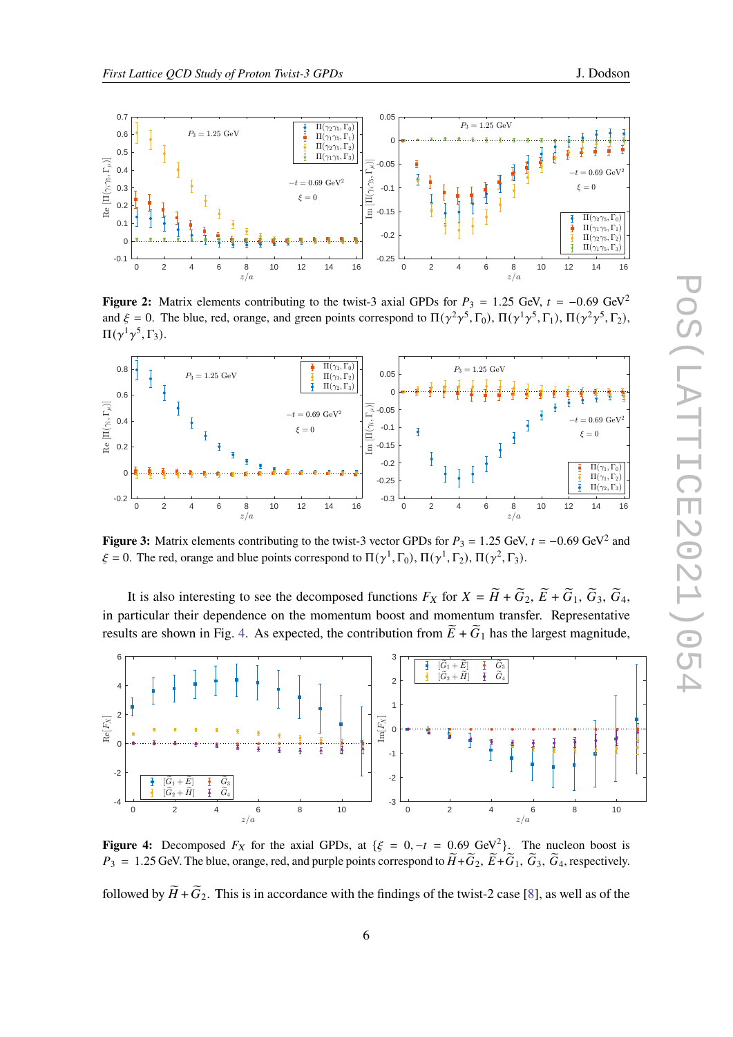<span id="page-5-0"></span>

**Figure 2:** Matrix elements contributing to the twist-3 axial GPDs for  $P_3 = 1.25$  GeV,  $t = -0.69$  GeV<sup>2</sup> and  $\xi = 0$ . The blue, red, orange, and green points correspond to  $\Pi(\gamma^2\gamma^5, \Gamma_0)$ ,  $\Pi(\gamma^1\gamma^5, \Gamma_1)$ ,  $\Pi(\gamma^2\gamma^5, \Gamma_2)$ ,  $\Pi(\gamma^1\gamma^5,\Gamma_3).$ 

<span id="page-5-1"></span>

**Figure 3:** Matrix elements contributing to the twist-3 vector GPDs for  $P_3 = 1.25$  GeV,  $t = -0.69$  GeV<sup>2</sup> and  $\xi = 0$ . The red, orange and blue points correspond to  $\Pi(\gamma^1, \Gamma_0)$ ,  $\Pi(\gamma^1, \Gamma_2)$ ,  $\Pi(\gamma^2, \Gamma_3)$ .

It is also interesting to see the decomposed functions  $F_X$  for  $X = \widetilde{H} + \widetilde{G}_2$ ,  $\widetilde{E} + \widetilde{G}_1$ ,  $\widetilde{G}_3$ ,  $\widetilde{G}_4$ , in particular their dependence on the momentum boost and momentum transfer. Representative results are shown in Fig. [4.](#page-5-2) As expected, the contribution from  $\widetilde{E} + \widetilde{G}_1$  has the largest magnitude,

<span id="page-5-2"></span>

**Figure 4:** Decomposed  $F_X$  for the axial GPDs, at { $\xi = 0, -t = 0.69$  GeV<sup>2</sup>}. The nucleon boost is  $P_3 = 1.25$  GeV. The blue, orange, red, and purple points correspond to  $\widetilde{H} + \widetilde{G}_2$ ,  $\widetilde{E} + \widetilde{G}_1$ ,  $\widetilde{G}_3$ ,  $\widetilde{G}_4$ , respectively.

followed by  $H + \tilde{G}_2$ . This is in accordance with the findings of the twist-2 case [\[8\]](#page-8-5), as well as of the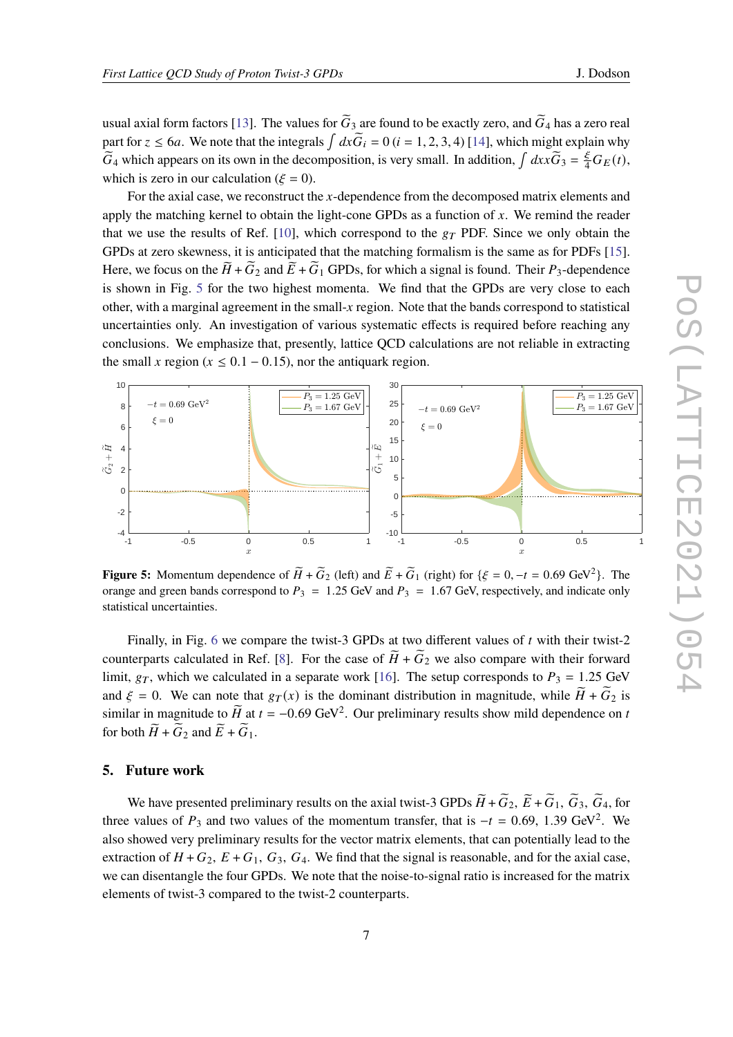usual axial form factors [\[13\]](#page-8-10). The values for  $\tilde{G}_3$  are found to be exactly zero, and  $\tilde{G}_4$  has a zero real part for  $z \le 6a$ . We note that the integrals  $\int dx \widetilde{G}_i = 0$   $(i = 1, 2, 3, 4)$  [\[14\]](#page-8-11), which might explain why  $\widetilde{G}_4$  which appears on its own in the decomposition, is very small. In addition,  $\int dx x \widetilde{G}_3 = \frac{\xi}{4} G_E(t)$ , which is zero in our calculation ( $\xi = 0$ ).

For the axial case, we reconstruct the  $x$ -dependence from the decomposed matrix elements and apply the matching kernel to obtain the light-cone GPDs as a function of  $x$ . We remind the reader that we use the results of Ref. [\[10\]](#page-8-7), which correspond to the  $g_T$  PDF. Since we only obtain the GPDs at zero skewness, it is anticipated that the matching formalism is the same as for PDFs [\[15\]](#page-8-12). Here, we focus on the  $\widetilde{H} + \widetilde{G}_2$  and  $\widetilde{E} + \widetilde{G}_1$  GPDs, for which a signal is found. Their  $P_3$ -dependence is shown in Fig. [5](#page-6-0) for the two highest momenta. We find that the GPDs are very close to each other, with a marginal agreement in the small-x region. Note that the bands correspond to statistical uncertainties only. An investigation of various systematic effects is required before reaching any conclusions. We emphasize that, presently, lattice QCD calculations are not reliable in extracting the small x region ( $x \le 0.1 - 0.15$ ), nor the antiquark region.

<span id="page-6-0"></span>

**Figure 5:** Momentum dependence of  $\widetilde{H} + \widetilde{G}_2$  (left) and  $\widetilde{E} + \widetilde{G}_1$  (right) for  $\{\xi = 0, -t = 0.69 \text{ GeV}^2\}$ . The orange and green bands correspond to  $P_3 = 1.25$  GeV and  $P_3 = 1.67$  GeV, respectively, and indicate only statistical uncertainties.

Finally, in Fig. [6](#page-7-0) we compare the twist-3 GPDs at two different values of  $t$  with their twist-2 counterparts calculated in Ref. [\[8\]](#page-8-5). For the case of  $H + G_2$  we also compare with their forward limit,  $g_T$ , which we calculated in a separate work [\[16\]](#page-8-13). The setup corresponds to  $P_3 = 1.25$  GeV and  $\xi = 0$ . We can note that  $g_T(x)$  is the dominant distribution in magnitude, while  $H + \tilde{G}_2$  is similar in magnitude to  $\widetilde{H}$  at  $t = -0.69$  GeV<sup>2</sup>. Our preliminary results show mild dependence on t for both  $\widetilde{H}$  +  $\widetilde{G}_2$  and  $\widetilde{E}$  +  $\widetilde{G}_1$ .

## **5. Future work**

We have presented preliminary results on the axial twist-3 GPDs  $\tilde{H} + \tilde{G}_2$ ,  $\tilde{E} + \tilde{G}_1$ ,  $\tilde{G}_3$ ,  $\tilde{G}_4$ , for three values of  $P_3$  and two values of the momentum transfer, that is  $-t = 0.69, 1.39 \text{ GeV}^2$ . We also showed very preliminary results for the vector matrix elements, that can potentially lead to the extraction of  $H + G_2$ ,  $E + G_1$ ,  $G_3$ ,  $G_4$ . We find that the signal is reasonable, and for the axial case, we can disentangle the four GPDs. We note that the noise-to-signal ratio is increased for the matrix elements of twist-3 compared to the twist-2 counterparts.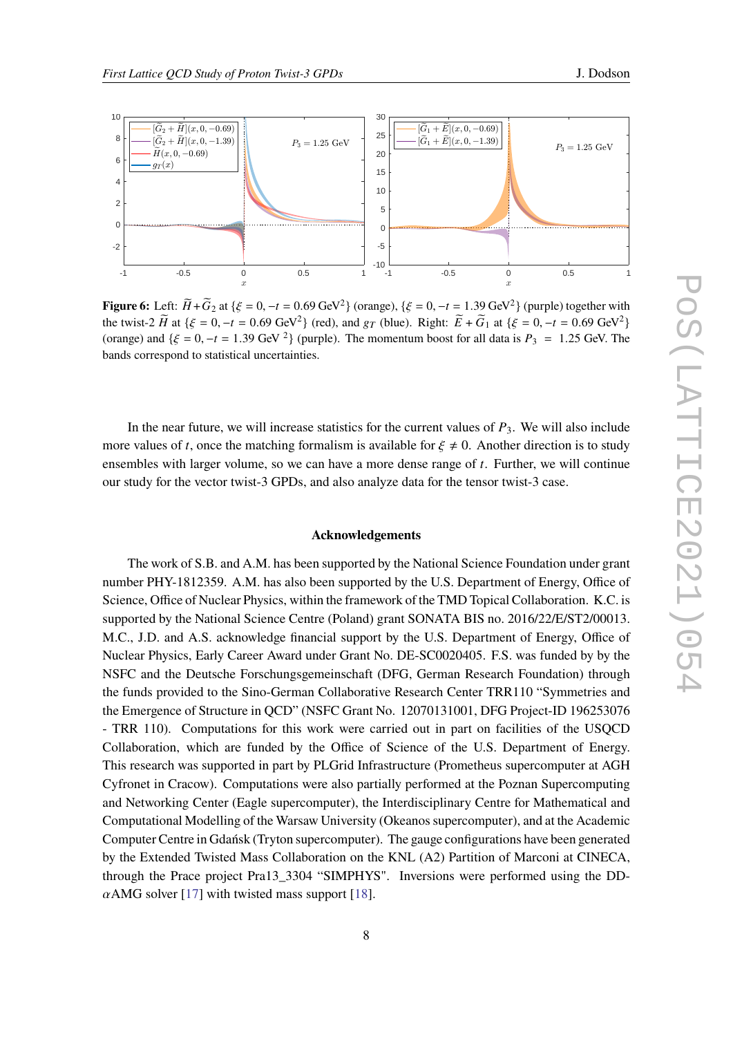<span id="page-7-0"></span>

**Figure 6:** Left:  $\widetilde{H} + \widetilde{G}_2$  at { $\xi = 0, -t = 0.69$  GeV<sup>2</sup>} (orange), { $\xi = 0, -t = 1.39$  GeV<sup>2</sup>} (purple) together with the twist-2  $\tilde{H}$  at { $\xi = 0, -t = 0.69$  GeV<sup>2</sup>} (red), and  $g_T$  (blue). Right:  $\tilde{E} + \tilde{G}_1$  at { $\xi = 0, -t = 0.69$  GeV<sup>2</sup>} (orange) and  $\{\xi = 0, -t = 1.39 \text{ GeV }^2\}$  (purple). The momentum boost for all data is  $P_3 = 1.25 \text{ GeV}$ . The bands correspond to statistical uncertainties.

In the near future, we will increase statistics for the current values of  $P_3$ . We will also include more values of t, once the matching formalism is available for  $\xi \neq 0$ . Another direction is to study ensembles with larger volume, so we can have a more dense range of  $t$ . Further, we will continue our study for the vector twist-3 GPDs, and also analyze data for the tensor twist-3 case.

#### **Acknowledgements**

The work of S.B. and A.M. has been supported by the National Science Foundation under grant number PHY-1812359. A.M. has also been supported by the U.S. Department of Energy, Office of Science, Office of Nuclear Physics, within the framework of the TMD Topical Collaboration. K.C. is supported by the National Science Centre (Poland) grant SONATA BIS no. 2016/22/E/ST2/00013. M.C., J.D. and A.S. acknowledge financial support by the U.S. Department of Energy, Office of Nuclear Physics, Early Career Award under Grant No. DE-SC0020405. F.S. was funded by by the NSFC and the Deutsche Forschungsgemeinschaft (DFG, German Research Foundation) through the funds provided to the Sino-German Collaborative Research Center TRR110 "Symmetries and the Emergence of Structure in QCD" (NSFC Grant No. 12070131001, DFG Project-ID 196253076 - TRR 110). Computations for this work were carried out in part on facilities of the USQCD Collaboration, which are funded by the Office of Science of the U.S. Department of Energy. This research was supported in part by PLGrid Infrastructure (Prometheus supercomputer at AGH Cyfronet in Cracow). Computations were also partially performed at the Poznan Supercomputing and Networking Center (Eagle supercomputer), the Interdisciplinary Centre for Mathematical and Computational Modelling of the Warsaw University (Okeanos supercomputer), and at the Academic Computer Centre in Gdańsk (Tryton supercomputer). The gauge configurations have been generated by the Extended Twisted Mass Collaboration on the KNL (A2) Partition of Marconi at CINECA, through the Prace project Pra13\_3304 "SIMPHYS". Inversions were performed using the DD-  $\alpha$ AMG solver [\[17\]](#page-8-14) with twisted mass support [\[18\]](#page-8-15).